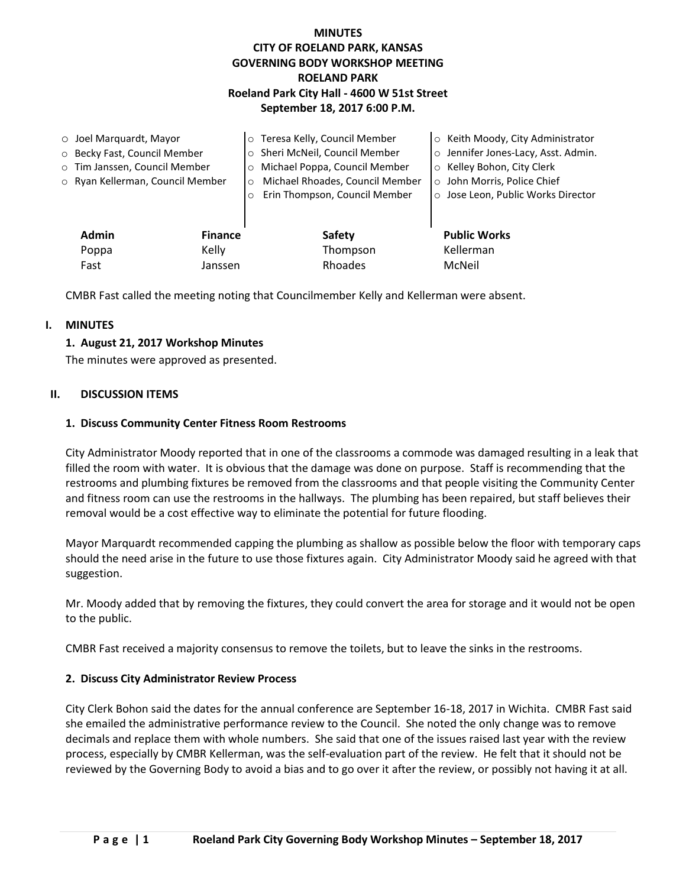# **MINUTES CITY OF ROELAND PARK, KANSAS GOVERNING BODY WORKSHOP MEETING ROELAND PARK Roeland Park City Hall - 4600 W 51st Street September 18, 2017 6:00 P.M.**

| $\circ$ Joel Marquardt, Mayor |                                  |                | o Teresa Kelly, Council Member             | ○ Keith Moody, City Administrator   |
|-------------------------------|----------------------------------|----------------|--------------------------------------------|-------------------------------------|
| ○ Becky Fast, Council Member  |                                  |                | o Sheri McNeil, Council Member             | o Jennifer Jones-Lacy, Asst. Admin. |
|                               | o Tim Janssen, Council Member    |                | Michael Poppa, Council Member<br>$\circ$   | ○ Kelley Bohon, City Clerk          |
|                               | o Ryan Kellerman, Council Member |                | Michael Rhoades, Council Member<br>$\circ$ | o John Morris, Police Chief         |
|                               |                                  | $\circ$        | Erin Thompson, Council Member              | o Jose Leon, Public Works Director  |
|                               |                                  |                |                                            |                                     |
|                               | <b>Admin</b>                     | <b>Finance</b> | Safety                                     | <b>Public Works</b>                 |
|                               | Poppa                            | Kelly          | Thompson                                   | Kellerman                           |
|                               | Fast                             | Janssen        | Rhoades                                    | McNeil                              |

CMBR Fast called the meeting noting that Councilmember Kelly and Kellerman were absent.

# **I. MINUTES**

# **1. August 21, 2017 Workshop Minutes**

The minutes were approved as presented.

### **II. DISCUSSION ITEMS**

### **1. Discuss Community Center Fitness Room Restrooms**

City Administrator Moody reported that in one of the classrooms a commode was damaged resulting in a leak that filled the room with water. It is obvious that the damage was done on purpose. Staff is recommending that the restrooms and plumbing fixtures be removed from the classrooms and that people visiting the Community Center and fitness room can use the restrooms in the hallways. The plumbing has been repaired, but staff believes their removal would be a cost effective way to eliminate the potential for future flooding.

Mayor Marquardt recommended capping the plumbing as shallow as possible below the floor with temporary caps should the need arise in the future to use those fixtures again. City Administrator Moody said he agreed with that suggestion.

Mr. Moody added that by removing the fixtures, they could convert the area for storage and it would not be open to the public.

CMBR Fast received a majority consensus to remove the toilets, but to leave the sinks in the restrooms.

# **2. Discuss City Administrator Review Process**

City Clerk Bohon said the dates for the annual conference are September 16-18, 2017 in Wichita. CMBR Fast said she emailed the administrative performance review to the Council. She noted the only change was to remove decimals and replace them with whole numbers. She said that one of the issues raised last year with the review process, especially by CMBR Kellerman, was the self-evaluation part of the review. He felt that it should not be reviewed by the Governing Body to avoid a bias and to go over it after the review, or possibly not having it at all.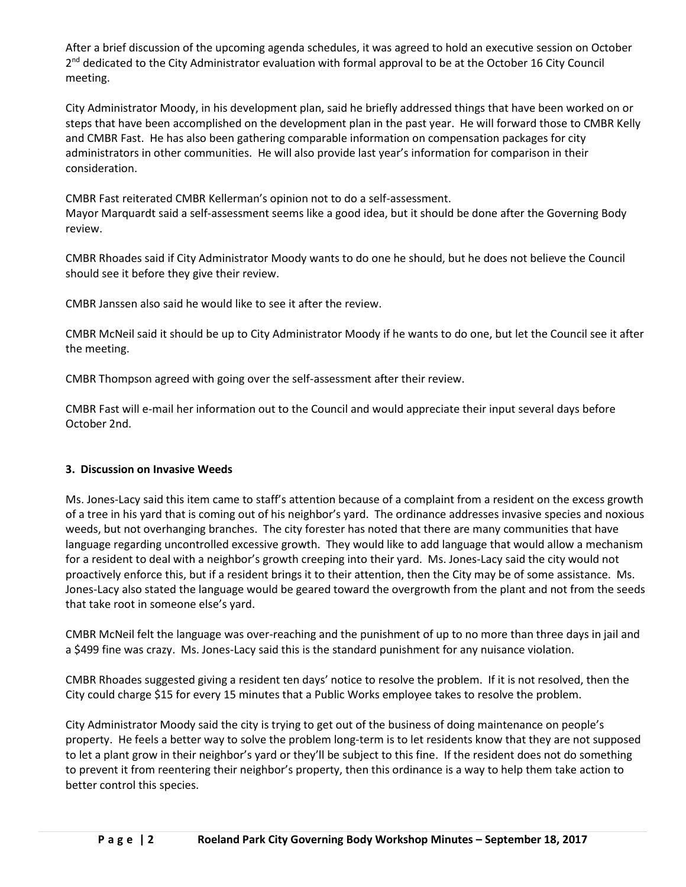After a brief discussion of the upcoming agenda schedules, it was agreed to hold an executive session on October 2<sup>nd</sup> dedicated to the City Administrator evaluation with formal approval to be at the October 16 City Council meeting.

City Administrator Moody, in his development plan, said he briefly addressed things that have been worked on or steps that have been accomplished on the development plan in the past year. He will forward those to CMBR Kelly and CMBR Fast. He has also been gathering comparable information on compensation packages for city administrators in other communities. He will also provide last year's information for comparison in their consideration.

CMBR Fast reiterated CMBR Kellerman's opinion not to do a self-assessment. Mayor Marquardt said a self-assessment seems like a good idea, but it should be done after the Governing Body review.

CMBR Rhoades said if City Administrator Moody wants to do one he should, but he does not believe the Council should see it before they give their review.

CMBR Janssen also said he would like to see it after the review.

CMBR McNeil said it should be up to City Administrator Moody if he wants to do one, but let the Council see it after the meeting.

CMBR Thompson agreed with going over the self-assessment after their review.

CMBR Fast will e-mail her information out to the Council and would appreciate their input several days before October 2nd.

# **3. Discussion on Invasive Weeds**

Ms. Jones-Lacy said this item came to staff's attention because of a complaint from a resident on the excess growth of a tree in his yard that is coming out of his neighbor's yard. The ordinance addresses invasive species and noxious weeds, but not overhanging branches. The city forester has noted that there are many communities that have language regarding uncontrolled excessive growth. They would like to add language that would allow a mechanism for a resident to deal with a neighbor's growth creeping into their yard. Ms. Jones-Lacy said the city would not proactively enforce this, but if a resident brings it to their attention, then the City may be of some assistance. Ms. Jones-Lacy also stated the language would be geared toward the overgrowth from the plant and not from the seeds that take root in someone else's yard.

CMBR McNeil felt the language was over-reaching and the punishment of up to no more than three days in jail and a \$499 fine was crazy. Ms. Jones-Lacy said this is the standard punishment for any nuisance violation.

CMBR Rhoades suggested giving a resident ten days' notice to resolve the problem. If it is not resolved, then the City could charge \$15 for every 15 minutes that a Public Works employee takes to resolve the problem.

City Administrator Moody said the city is trying to get out of the business of doing maintenance on people's property. He feels a better way to solve the problem long-term is to let residents know that they are not supposed to let a plant grow in their neighbor's yard or they'll be subject to this fine. If the resident does not do something to prevent it from reentering their neighbor's property, then this ordinance is a way to help them take action to better control this species.